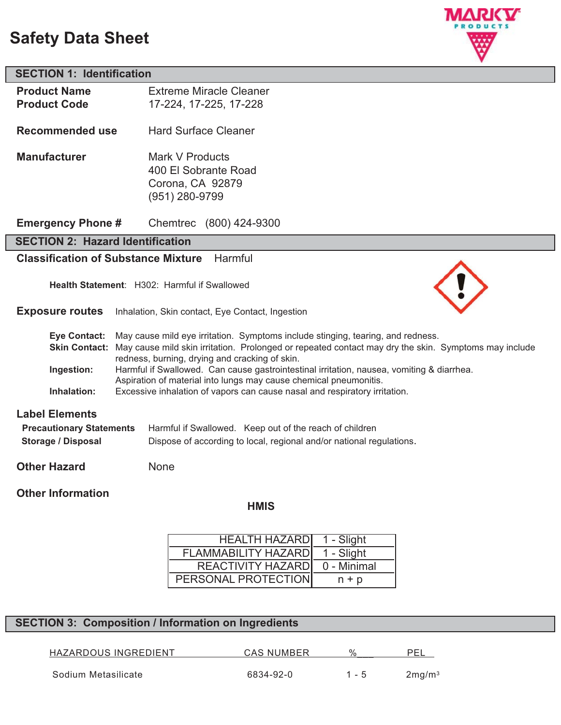# **Safety Data Sheet**



# **SECTION 1: Identification**

| <b>Product Name</b>                        | <b>Extreme Miracle Cleaner</b>                                                                                                                                       |  |
|--------------------------------------------|----------------------------------------------------------------------------------------------------------------------------------------------------------------------|--|
| <b>Product Code</b>                        | 17-224, 17-225, 17-228                                                                                                                                               |  |
| <b>Recommended use</b>                     | <b>Hard Surface Cleaner</b>                                                                                                                                          |  |
| <b>Manufacturer</b>                        | Mark V Products                                                                                                                                                      |  |
|                                            | 400 El Sobrante Road                                                                                                                                                 |  |
|                                            | Corona, CA 92879                                                                                                                                                     |  |
|                                            | (951) 280-9799                                                                                                                                                       |  |
|                                            |                                                                                                                                                                      |  |
| <b>Emergency Phone #</b>                   | Chemtrec (800) 424-9300                                                                                                                                              |  |
| <b>SECTION 2: Hazard Identification</b>    |                                                                                                                                                                      |  |
| <b>Classification of Substance Mixture</b> | Harmful                                                                                                                                                              |  |
|                                            | Health Statement: H302: Harmful if Swallowed                                                                                                                         |  |
| <b>Exposure routes</b>                     | Inhalation, Skin contact, Eye Contact, Ingestion                                                                                                                     |  |
| <b>Eye Contact:</b>                        | May cause mild eye irritation. Symptoms include stinging, tearing, and redness.                                                                                      |  |
|                                            | Skin Contact: May cause mild skin irritation. Prolonged or repeated contact may dry the skin. Symptoms may include<br>redness, burning, drying and cracking of skin. |  |
| Ingestion:                                 | Harmful if Swallowed. Can cause gastrointestinal irritation, nausea, vomiting & diarrhea.<br>Aspiration of material into lungs may cause chemical pneumonitis.       |  |

**Inhalation:** Excessive inhalation of vapors can cause nasal and respiratory irritation.

## **Label Elements**

| <b>Precautionary Statements</b> | Harmful if Swallowed. Keep out of the reach of children              |
|---------------------------------|----------------------------------------------------------------------|
| <b>Storage / Disposal</b>       | Dispose of according to local, regional and/or national regulations. |

**Other Hazard** None

## **Other Information**

### **HMIS**

| <b>HEALTH HAZARDI</b>      | 1 - Slight  |
|----------------------------|-------------|
| <b>FLAMMABILITY HAZARD</b> | 1 - Slight  |
| REACTIVITY HAZARD          | 0 - Minimal |
| PERSONAL PROTECTION        | $n + p$     |

## **SECTION 3: Composition / Information on Ingredients**

HAZARDOUS INGREDIENT CAS NUMBER %\_\_\_ PEL

Sodium Metasilicate **6834-92-0** 1 - 5 2mg/m<sup>3</sup>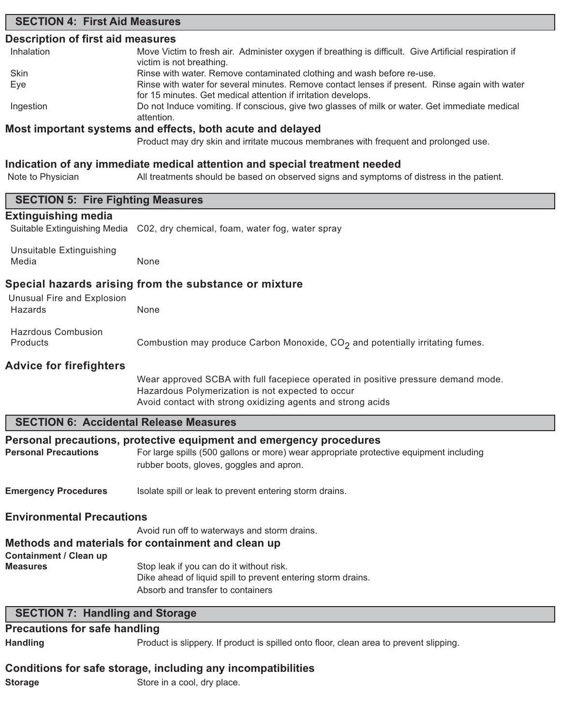## **SECTION 4: First Aid Measures**

## **Description of first aid measures**

| Inhalation | Move Victim to fresh air. Administer oxygen if breathing is difficult. Give Artificial respiration if |
|------------|-------------------------------------------------------------------------------------------------------|
|            | victim is not breathing.                                                                              |
| Skin       | Rinse with water. Remove contaminated clothing and wash before re-use.                                |
| Eye        | Rinse with water for several minutes. Remove contact lenses if present. Rinse again with water        |
|            | for 15 minutes. Get medical attention if irritation develops.                                         |
| Ingestion  | Do not Induce vomiting. If conscious, give two glasses of milk or water. Get immediate medical        |
|            | attention.                                                                                            |
|            | Maat immantanta watana anal affaata ilaatha aarita anal dalaysad                                      |

## **Most important systems and effects, both acute and delayed**

Product may dry skin and irritate mucous membranes with frequent and prolonged use.

## **Indication of any immediate medical attention and special treatment needed**

| Note to Physician                                     | All treatments should be based on observed signs and symptoms of distress in the patient.                                                                                                                 |  |  |
|-------------------------------------------------------|-----------------------------------------------------------------------------------------------------------------------------------------------------------------------------------------------------------|--|--|
| <b>SECTION 5: Fire Fighting Measures</b>              |                                                                                                                                                                                                           |  |  |
| <b>Extinguishing media</b>                            | Suitable Extinguishing Media C02, dry chemical, foam, water fog, water spray                                                                                                                              |  |  |
| Unsuitable Extinguishing<br>Media                     | None                                                                                                                                                                                                      |  |  |
| Special hazards arising from the substance or mixture |                                                                                                                                                                                                           |  |  |
| Unusual Fire and Explosion<br>Hazards                 | None                                                                                                                                                                                                      |  |  |
| <b>Hazrdous Combusion</b><br>Products                 | Combustion may produce Carbon Monoxide, CO <sub>2</sub> and potentially irritating fumes.                                                                                                                 |  |  |
| <b>Advice for firefighters</b>                        |                                                                                                                                                                                                           |  |  |
|                                                       | Wear approved SCBA with full facepiece operated in positive pressure demand mode.<br>Hazardous Polymerization is not expected to occur<br>Avoid contact with strong oxidizing agents and strong acids     |  |  |
| <b>SECTION 6: Accidental Release Measures</b>         |                                                                                                                                                                                                           |  |  |
| <b>Personal Precautions</b>                           | Personal precautions, protective equipment and emergency procedures<br>For large spills (500 gallons or more) wear appropriate protective equipment including<br>rubber boots, gloves, goggles and apron. |  |  |
| <b>Emergency Procedures</b>                           | Isolate spill or leak to prevent entering storm drains.                                                                                                                                                   |  |  |
| <b>Environmental Precautions</b>                      |                                                                                                                                                                                                           |  |  |
| <b>Containment / Clean up</b>                         | Avoid run off to waterways and storm drains.<br>Methods and materials for containment and clean up                                                                                                        |  |  |
| <b>Measures</b>                                       | Stop leak if you can do it without risk.<br>Dike ahead of liquid spill to prevent entering storm drains.<br>Absorb and transfer to containers                                                             |  |  |
| <b>SECTION 7: Handling and Storage</b>                |                                                                                                                                                                                                           |  |  |
| <b>Precautions for safe handling</b>                  |                                                                                                                                                                                                           |  |  |
| <b>Handling</b>                                       | Product is slippery. If product is spilled onto floor, clean area to prevent slipping.                                                                                                                    |  |  |

## **Conditions for safe storage, including any incompatibilities**

**Storage** Store in a cool, dry place.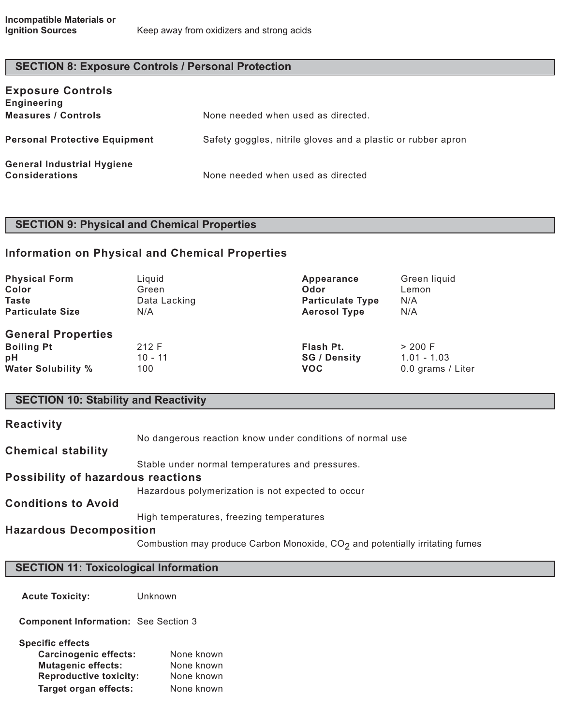# **SECTION 8: Exposure Controls / Personal Protection**

| <b>Exposure Controls</b><br><b>Engineering</b>             |                                                              |
|------------------------------------------------------------|--------------------------------------------------------------|
| <b>Measures / Controls</b>                                 | None needed when used as directed.                           |
| <b>Personal Protective Equipment</b>                       | Safety goggles, nitrile gloves and a plastic or rubber apron |
| <b>General Industrial Hygiene</b><br><b>Considerations</b> | None needed when used as directed                            |

# **SECTION 9: Physical and Chemical Properties**

# **Information on Physical and Chemical Properties**

| <b>Physical Form</b>                                                              | Liquid                    | Appearance                                     | Green liquid                                  |
|-----------------------------------------------------------------------------------|---------------------------|------------------------------------------------|-----------------------------------------------|
| Color                                                                             | Green                     | Odor                                           | Lemon                                         |
| <b>Taste</b>                                                                      | Data Lacking              | <b>Particulate Type</b>                        | N/A                                           |
| <b>Particulate Size</b>                                                           | N/A                       | <b>Aerosol Type</b>                            | N/A                                           |
| <b>General Properties</b><br><b>Boiling Pt</b><br>pH<br><b>Water Solubility %</b> | 212 F<br>$10 - 11$<br>100 | Flash Pt.<br><b>SG / Density</b><br><b>VOC</b> | > 200 F<br>$1.01 - 1.03$<br>0.0 grams / Liter |

# **SECTION 10: Stability and Reactivity**

| <b>Reactivity</b>                         |                                                           |
|-------------------------------------------|-----------------------------------------------------------|
|                                           | No dangerous reaction know under conditions of normal use |
| <b>Chemical stability</b>                 |                                                           |
|                                           | Stable under normal temperatures and pressures.           |
| <b>Possibility of hazardous reactions</b> |                                                           |
|                                           | Hazardous polymerization is not expected to occur         |
| <b>Conditions to Avoid</b>                |                                                           |
|                                           | High temperatures, freezing temperatures                  |
| <b>Hazardous Decomposition</b>            |                                                           |
|                                           |                                                           |

Combustion may produce Carbon Monoxide,  $CO<sub>2</sub>$  and potentially irritating fumes

| <b>SECTION 11: Toxicological Information</b> |         |
|----------------------------------------------|---------|
| <b>Acute Toxicity:</b>                       | Unknown |
| <b>Component Information: See Section 3</b>  |         |

| <b>Specific effects</b>       |            |
|-------------------------------|------------|
| <b>Carcinogenic effects:</b>  | None known |
| <b>Mutagenic effects:</b>     | None known |
| <b>Reproductive toxicity:</b> | None known |
| <b>Target organ effects:</b>  | None known |